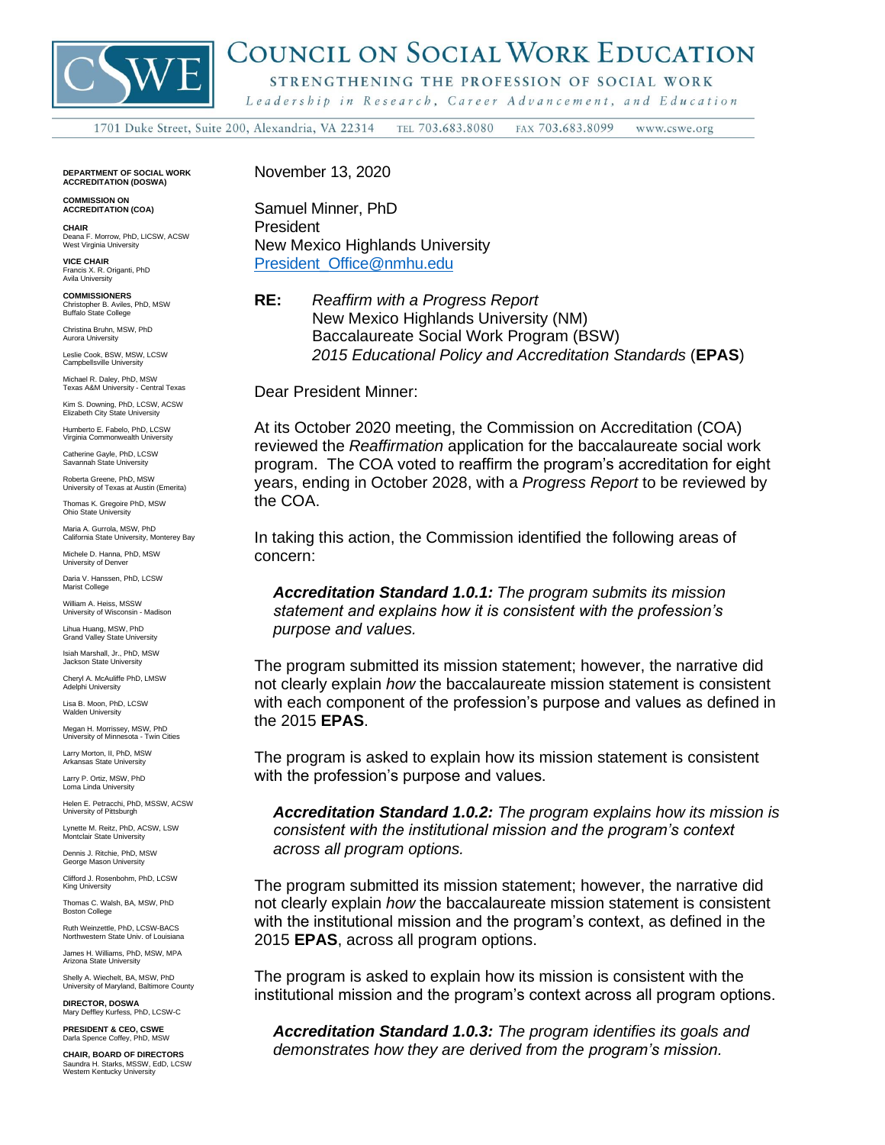

## COUNCIL ON SOCIAL WORK EDUCATION

STRENGTHENING THE PROFESSION OF SOCIAL WORK

Leadership in Research, Career Advancement, and Education

TEL 703.683.8080 FAX 703.683.8099 1701 Duke Street, Suite 200, Alexandria, VA 22314 www.cswe.org

**DEPARTMENT OF SOCIAL WORK ACCREDITATION (DOSWA)**

**COMMISSION ON ACCREDITATION (COA)**

**CHAIR** Deana F. Morrow, PhD, LICSW, ACSW West Virginia University

**VICE CHAIR** Francis X. R. Origanti, PhD Avila University

**COMMISSIONERS**<br>Christopher B. Aviles, PhD. MSW. Christopher B. Aviles, PhD, MSW Buffalo State College

Christina Bruhn, MSW, PhD Aurora University

Leslie Cook, BSW, MSW, LCSW Campbellsville University

Michael R. Daley, PhD, MSW Texas A&M University - Central Texas Kim S. Downing, PhD, LCSW, ACSW

Elizabeth City State University Humberto E. Fabelo, PhD, LCSW Virginia Commonwealth University

Catherine Gayle, PhD, LCSW Savannah State University

Roberta Greene, PhD, MSW University of Texas at Austin (Emerita)

Thomas K. Gregoire PhD, MSW Ohio State University

Maria A. Gurrola, MSW, PhD California State University, Monterey Bay

Michele D. Hanna, PhD, MSW University of Denver

Daria V. Hanssen, PhD, LCSW Marist College

William A. Heiss, MSSW University of Wisconsin - Madison

Lihua Huang, MSW, PhD Grand Valley State University

Isiah Marshall, Jr., PhD, MSW Jackson State University

Cheryl A. McAuliffe PhD, LMSW Adelphi University

Lisa B. Moon, PhD, LCSW Walden University

Megan H. Morrissey, MSW, PhD University of Minnesota - Twin Cities

Larry Morton, II, PhD, MSW nsas State University

Larry P. Ortiz, MSW, PhD Loma Linda University

Helen E. Petracchi, PhD, MSSW, ACSW University of Pittsburgh

Lynette M. Reitz, PhD, ACSW, LSW Montclair State University

Dennis J. Ritchie, PhD, MSW George Mason University

Clifford J. Rosenbohm, PhD, LCSW King University

Thomas C. Walsh, BA, MSW, PhD Boston College

Ruth Weinzettle, PhD, LCSW-BACS Northwestern State Univ. of Louisiana

James H. Williams, PhD, MSW, MPA Arizona State University

Shelly A. Wiechelt, BA, MSW, PhD University of Maryland, Baltimore County

**DIRECTOR, DOSWA** Mary Deffley Kurfess, PhD, LCSW-C

**PRESIDENT & CEO, CSWE** rla Spence Coffey, PhD, MSW

**CHAIR, BOARD OF DIRECTORS** Saundra H. Starks, MSSW, EdD, LCSW Western Kentucky University November 13, 2020

Samuel Minner, PhD President New Mexico Highlands University [President\\_Office@nmhu.edu](mailto:President_Office@nmhu.edu)

**RE:** *Reaffirm with a Progress Report* New Mexico Highlands University (NM) Baccalaureate Social Work Program (BSW) *2015 Educational Policy and Accreditation Standards* (**EPAS**)

Dear President Minner:

At its October 2020 meeting, the Commission on Accreditation (COA) reviewed the *Reaffirmation* application for the baccalaureate social work program. The COA voted to reaffirm the program's accreditation for eight years, ending in October 2028, with a *Progress Report* to be reviewed by the COA.

In taking this action, the Commission identified the following areas of concern:

*Accreditation Standard 1.0.1: The program submits its mission statement and explains how it is consistent with the profession's purpose and values.*

The program submitted its mission statement; however, the narrative did not clearly explain *how* the baccalaureate mission statement is consistent with each component of the profession's purpose and values as defined in the 2015 **EPAS**.

The program is asked to explain how its mission statement is consistent with the profession's purpose and values.

*Accreditation Standard 1.0.2: The program explains how its mission is consistent with the institutional mission and the program's context across all program options.*

The program submitted its mission statement; however, the narrative did not clearly explain *how* the baccalaureate mission statement is consistent with the institutional mission and the program's context, as defined in the 2015 **EPAS**, across all program options.

The program is asked to explain how its mission is consistent with the institutional mission and the program's context across all program options.

*Accreditation Standard 1.0.3: The program identifies its goals and demonstrates how they are derived from the program's mission.*